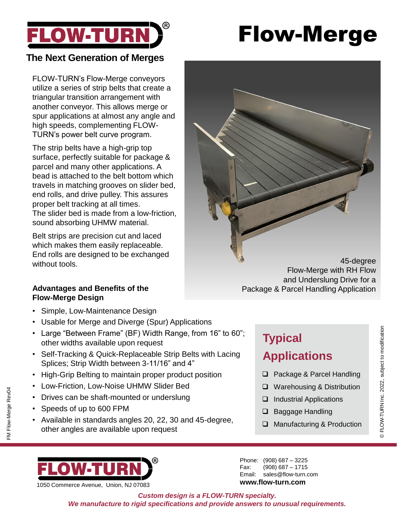

# Flow-Merge

### **The Next Generation of Merges**

FLOW-TURN's Flow-Merge conveyors utilize a series of strip belts that create a triangular transition arrangement with another conveyor. This allows merge or spur applications at almost any angle and high speeds, complementing FLOW-TURN's power belt curve program.

The strip belts have a high-grip top surface, perfectly suitable for package & parcel and many other applications. A bead is attached to the belt bottom which travels in matching grooves on slider bed, end rolls, and drive pulley. This assures proper belt tracking at all times. The slider bed is made from a low-friction, sound absorbing UHMW material.

Belt strips are precision cut and laced which makes them easily replaceable. End rolls are designed to be exchanged without tools.

## **Flow-Merge Design**

- Simple, Low-Maintenance Design
- Usable for Merge and Diverge (Spur) Applications
- Large "Between Frame" (BF) Width Range, from 16" to 60"; other widths available upon request
- Self-Tracking & Quick-Replaceable Strip Belts with Lacing Splices; Strip Width between 3-11/16" and 4"
- High-Grip Belting to maintain proper product position
- Low-Friction, Low-Noise UHMW Slider Bed
- Drives can be shaft-mounted or underslung
- Speeds of up to 600 FPM
- Available in standards angles 20, 22, 30 and 45-degree, other angles are available upon request

45-degree Flow-Merge with RH Flow and Underslung Drive for a Advantages and Benefits of the **Package & Parcel Handling Application** 

## **Typical**

- ❑ Package & Parcel Handling
- ❑ Warehousing & Distribution
- ❑ Industrial Applications
- ❑ Baggage Handling
- ❑ Manufacturing & Production



1050 Commerce Avenue, Union, NJ 07083

Phone: (908) 687 – 3225 Fax: (908) 687 – 1715 Email: sales@flow-turn.com **www.flow-turn.com**

*Custom design is a FLOW-TURN specialty. We manufacture to rigid specifications and provide answers to unusual requirements.*



# **Applications**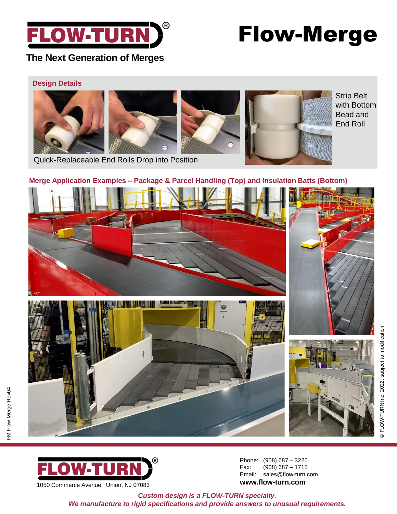

## Flow-Merge

### **The Next Generation of Merges**

### **Design Details**



Quick-Replaceable End Rolls Drop into Position

### **Merge Application Examples – Package & Parcel Handling (Top) and Insulation Batts (Bottom)**





FM Flow-Merge Rev04

-M Flow-Merge Rev04

Phone: (908) 687 – 3225 Fax: (908) 687 – 1715 Email: sales@flow-turn.com **www.flow-turn.com**

*Custom design is a FLOW-TURN specialty. We manufacture to rigid specifications and provide answers to unusual requirements.*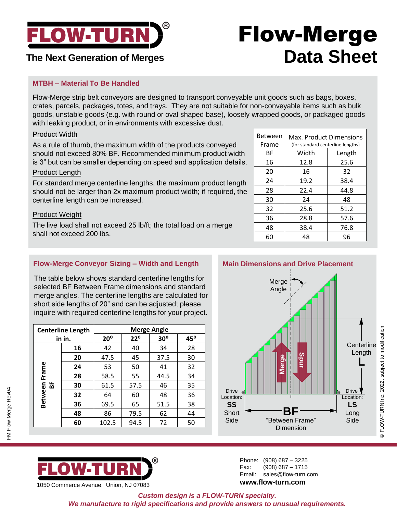

### **The Next Generation of Merges**

## Flow-Merge **Data Sheet**

### **MTBH – Material To Be Handled**

Flow-Merge strip belt conveyors are designed to transport conveyable unit goods such as bags, boxes, crates, parcels, packages, totes, and trays. They are not suitable for non-conveyable items such as bulk goods, unstable goods (e.g. with round or oval shaped base), loosely wrapped goods, or packaged goods with leaking product, or in environments with excessive dust.

#### Product Width

As a rule of thumb, the maximum width of the products conveyed should not exceed 80% BF. Recommended minimum product width is 3" but can be smaller depending on speed and application details.

#### Product Length

For standard merge centerline lengths, the maximum product length should not be larger than 2x maximum product width; if required, the centerline length can be increased.

#### Product Weight

**Centerline Length in in.**

**Between Frame BF**

Between Frame

The live load shall not exceed 25 lb/ft; the total load on a merge shall not exceed 200 lbs.

> **Merge Angle 20⁰ 22⁰ 30⁰ 45⁰**

 42 40 34 28  $\begin{array}{|c|c|c|c|} \hline \textbf{47.5} & \textbf{45} & \textbf{37.5} & \textbf{30} \ \hline \end{array}$  | 53 | 50 | 41 | 32  $\begin{array}{|c|c|c|c|} \hline 58.5 & 55 & 44.5 & 34 \ \hline \end{array}$   $\begin{array}{|c|c|c|c|c|} \hline \textbf{61.5} & \textbf{57.5} & \textbf{46} & \textbf{35} \ \hline \end{array}$  64 60 48 36  $\begin{array}{|c|c|c|c|} \hline \textbf{69.5} & \textbf{65} & \textbf{51.5} & \textbf{38} \ \hline \end{array}$  86 79.5 62 44 | 102.5 | 94.5 | 72 | 50

**Flow-Merge Conveyor Sizing – Width and Length**

The table below shows standard centerline lengths for selected BF Between Frame dimensions and standard merge angles. The centerline lengths are calculated for short side lengths of 20" and can be adjusted; please inquire with required centerline lengths for your project.

| <b>Between</b><br>Frame | <b>Max. Product Dimensions</b><br>(for standard centerline lengths) |        |
|-------------------------|---------------------------------------------------------------------|--------|
| ВF                      | Width                                                               | Length |
| 16                      | 12.8                                                                | 25.6   |
| 20                      | 16                                                                  | 32     |
| 24                      | 19.2                                                                | 38.4   |
| 28                      | 22.4                                                                | 44.8   |
| 30                      | 24                                                                  | 48     |
| 32                      | 25.6                                                                | 51.2   |
| 36                      | 28.8                                                                | 57.6   |
| 48                      | 38.4                                                                | 76.8   |
| 60                      | 48                                                                  | 96     |

#### **Main Dimensions and Drive Placement**



## $\tt FLOW-TURN$   $^{\circ}$ 1050 Commerce Avenue, Union, NJ 07083

Phone: (908) 687 – 3225 Fax: (908) 687 – 1715 Email: sales@flow-turn.com **www.flow-turn.com**

*Custom design is a FLOW-TURN specialty.* 

*We manufacture to rigid specifications and provide answers to unusual requirements.*